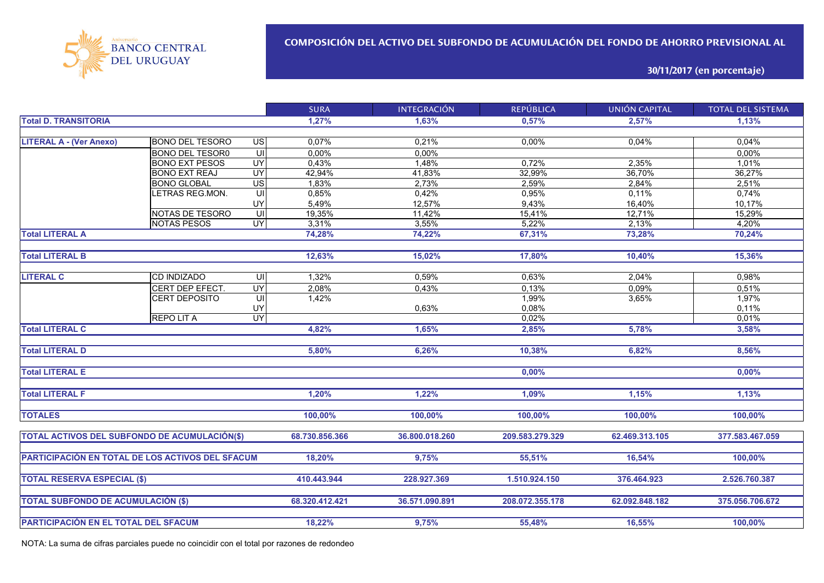

#### **30/11/2017 (en porcentaje)**

|                                                  |                        |                 | <b>SURA</b>    | <b>INTEGRACIÓN</b> | <b>REPÚBLICA</b> | <b>UNIÓN CAPITAL</b> | <b>TOTAL DEL SISTEMA</b> |
|--------------------------------------------------|------------------------|-----------------|----------------|--------------------|------------------|----------------------|--------------------------|
| <b>Total D. TRANSITORIA</b>                      |                        |                 | 1,27%          | 1,63%              | 0,57%            | 2,57%                | 1,13%                    |
|                                                  |                        |                 |                |                    |                  |                      |                          |
| <b>LITERAL A - (Ver Anexo)</b>                   | <b>BONO DEL TESORO</b> | $\overline{u}$  | 0,07%          | 0,21%              | 0,00%            | 0,04%                | 0,04%                    |
|                                                  | <b>BONO DEL TESOR0</b> | ਗ               | 0,00%          | 0,00%              |                  |                      | $0,00\%$                 |
|                                                  | <b>BONO EXT PESOS</b>  | $\overline{UY}$ | 0,43%          | 1,48%              | 0.72%            | 2,35%                | 1,01%                    |
|                                                  | <b>BONO EXT REAJ</b>   | $\overline{UY}$ | 42,94%         | 41,83%             | 32,99%           | 36,70%               | 36,27%                   |
|                                                  | <b>BONO GLOBAL</b>     | $\overline{US}$ | 1,83%          | 2,73%              | 2,59%            | 2,84%                | 2,51%                    |
|                                                  | LETRAS REG.MON.        | UI              | 0,85%          | 0,42%              | 0,95%            | 0,11%                | 0,74%                    |
|                                                  |                        | UY              | 5,49%          | 12,57%             | 9,43%            | 16,40%               | 10,17%                   |
|                                                  | NOTAS DE TESORO        | UI              | 19,35%         | 11,42%             | 15,41%           | 12,71%               | 15,29%                   |
|                                                  | <b>NOTAS PESOS</b>     | Ç               | 3,31%          | 3,55%              | 5,22%            | 2,13%                | 4,20%                    |
| <b>Total LITERAL A</b>                           |                        |                 | 74,28%         | 74,22%             | 67,31%           | 73,28%               | 70,24%                   |
|                                                  |                        |                 |                |                    |                  |                      |                          |
| <b>Total LITERAL B</b>                           |                        |                 | 12,63%         | 15,02%             | 17,80%           | 10,40%               | 15,36%                   |
| <b>LITERAL C</b>                                 | CD INDIZADO            | -UI             | 1.32%          | 0,59%              | 0,63%            | 2,04%                | 0,98%                    |
|                                                  | CERT DEP EFECT.        | <b>UY</b>       | 2,08%          | 0,43%              | 0,13%            | 0,09%                | 0,51%                    |
|                                                  | CERT DEPOSITO          | ς               | 1,42%          |                    | 1,99%            | 3,65%                | 1,97%                    |
|                                                  |                        | UY              |                | 0,63%              | 0,08%            |                      | 0,11%                    |
|                                                  | <b>REPOLITA</b>        | UY <sub></sub>  |                |                    | 0,02%            |                      | 0,01%                    |
| <b>Total LITERAL C</b>                           |                        |                 | 4,82%          | 1,65%              | 2,85%            | 5,78%                | 3,58%                    |
|                                                  |                        |                 |                |                    |                  |                      |                          |
| <b>Total LITERAL D</b>                           |                        |                 | 5,80%          | 6,26%              | 10,38%           | 6,82%                | 8,56%                    |
|                                                  |                        |                 |                |                    |                  |                      |                          |
| <b>Total LITERAL E</b>                           |                        |                 |                |                    | 0,00%            |                      | 0,00%                    |
| <b>Total LITERAL F</b>                           |                        |                 | 1,20%          | 1,22%              | 1,09%            | 1,15%                | 1,13%                    |
|                                                  |                        |                 |                |                    |                  |                      |                          |
| <b>TOTALES</b>                                   |                        |                 | 100,00%        | 100,00%            | 100,00%          | 100,00%              | 100,00%                  |
|                                                  |                        |                 |                |                    |                  |                      |                          |
| TOTAL ACTIVOS DEL SUBFONDO DE ACUMULACIÓN(\$)    |                        |                 | 68.730.856.366 | 36.800.018.260     | 209.583.279.329  | 62.469.313.105       | 377.583.467.059          |
| PARTICIPACIÓN EN TOTAL DE LOS ACTIVOS DEL SFACUM |                        |                 | 18,20%         | 9,75%              | 55,51%           | 16,54%               | 100,00%                  |
|                                                  |                        |                 |                |                    |                  |                      |                          |
| <b>TOTAL RESERVA ESPECIAL (\$)</b>               |                        |                 | 410.443.944    | 228.927.369        | 1.510.924.150    | 376.464.923          | 2.526.760.387            |
|                                                  |                        |                 |                |                    |                  |                      |                          |
| <b>TOTAL SUBFONDO DE ACUMULACIÓN (\$)</b>        |                        |                 | 68.320.412.421 | 36.571.090.891     | 208.072.355.178  | 62.092.848.182       | 375.056.706.672          |
|                                                  |                        |                 |                |                    |                  |                      |                          |
| PARTICIPACIÓN EN EL TOTAL DEL SFACUM             |                        |                 | 18,22%         | 9,75%              | 55,48%           | 16,55%               | 100,00%                  |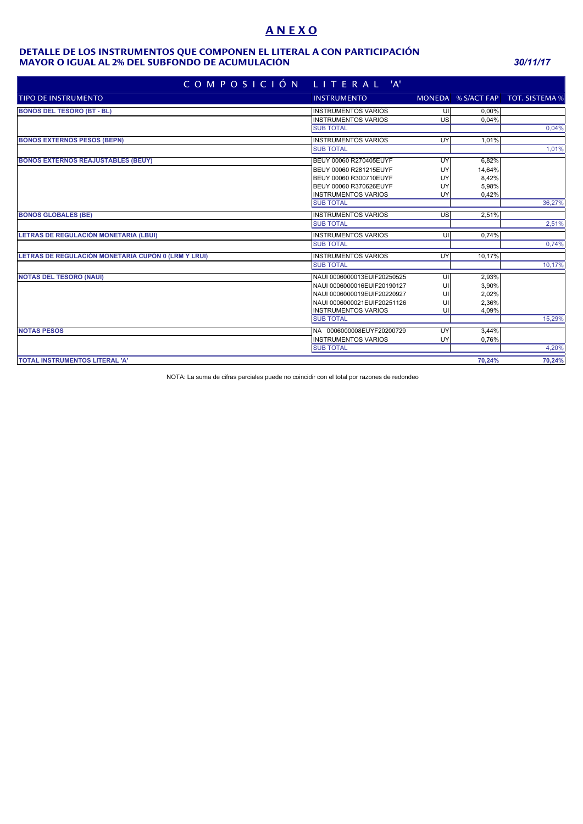# **A N E X O**

#### **MAYOR O IGUAL AL 2% DEL SUBFONDO DE ACUMULACIÓN** *30/11/17* **DETALLE DE LOS INSTRUMENTOS QUE COMPONEN EL LITERAL A CON PARTICIPACIÓN**

| COMPOSICIÓN                                         | LITERAL 'A'                 |    |        |                                   |
|-----------------------------------------------------|-----------------------------|----|--------|-----------------------------------|
| TIPO DE INSTRUMENTO                                 | <b>INSTRUMENTO</b>          |    |        | MONEDA % S/ACT FAP TOT. SISTEMA % |
| <b>BONOS DEL TESORO (BT - BL)</b>                   | <b>INSTRUMENTOS VARIOS</b>  | UI | 0,00%  |                                   |
|                                                     | <b>INSTRUMENTOS VARIOS</b>  | US | 0.04%  |                                   |
|                                                     | <b>SUB TOTAL</b>            |    |        | 0,04%                             |
| <b>BONOS EXTERNOS PESOS (BEPN)</b>                  | <b>INSTRUMENTOS VARIOS</b>  | UY | 1.01%  |                                   |
|                                                     | <b>SUB TOTAL</b>            |    |        | 1,01%                             |
| <b>BONOS EXTERNOS REAJUSTABLES (BEUY)</b>           | BEUY 00060 R270405EUYF      | UY | 6,82%  |                                   |
|                                                     | BEUY 00060 R281215EUYF      | UY | 14,64% |                                   |
|                                                     | BEUY 00060 R300710EUYF      | UY | 8,42%  |                                   |
|                                                     | BEUY 00060 R370626EUYF      | UY | 5,98%  |                                   |
|                                                     | <b>INSTRUMENTOS VARIOS</b>  | UY | 0,42%  |                                   |
|                                                     | <b>SUB TOTAL</b>            |    |        | 36,27%                            |
| <b>BONOS GLOBALES (BE)</b>                          | <b>INSTRUMENTOS VARIOS</b>  | US | 2.51%  |                                   |
|                                                     | <b>SUB TOTAL</b>            |    |        | 2,51%                             |
| LETRAS DE REGULACIÓN MONETARIA (LBUI)               | <b>INSTRUMENTOS VARIOS</b>  | UI | 0.74%  |                                   |
|                                                     | <b>SUB TOTAL</b>            |    |        | 0,74%                             |
| LETRAS DE REGULACIÓN MONETARIA CUPÓN 0 (LRM Y LRUI) | <b>INSTRUMENTOS VARIOS</b>  | UY | 10.17% |                                   |
|                                                     | <b>SUB TOTAL</b>            |    |        | 10,17%                            |
| <b>NOTAS DEL TESORO (NAUI)</b>                      | NAUI 0006000013EUIF20250525 | UI | 2,93%  |                                   |
|                                                     | NAUI 0006000016EUIF20190127 | UI | 3,90%  |                                   |
|                                                     | NAUI 0006000019EUIF20220927 | UI | 2,02%  |                                   |
|                                                     | NAUI 0006000021EUIF20251126 | U  | 2,36%  |                                   |
|                                                     | <b>INSTRUMENTOS VARIOS</b>  | UI | 4,09%  |                                   |
|                                                     | <b>SUB TOTAL</b>            |    |        | 15,29%                            |
| <b>NOTAS PESOS</b>                                  | NA 0006000008EUYF20200729   | UY | 3.44%  |                                   |
|                                                     | <b>INSTRUMENTOS VARIOS</b>  | UY | 0,76%  |                                   |
|                                                     | <b>SUB TOTAL</b>            |    |        | 4,20%                             |
| TOTAL INSTRUMENTOS LITERAL 'A'                      |                             |    | 70.24% | 70,24%                            |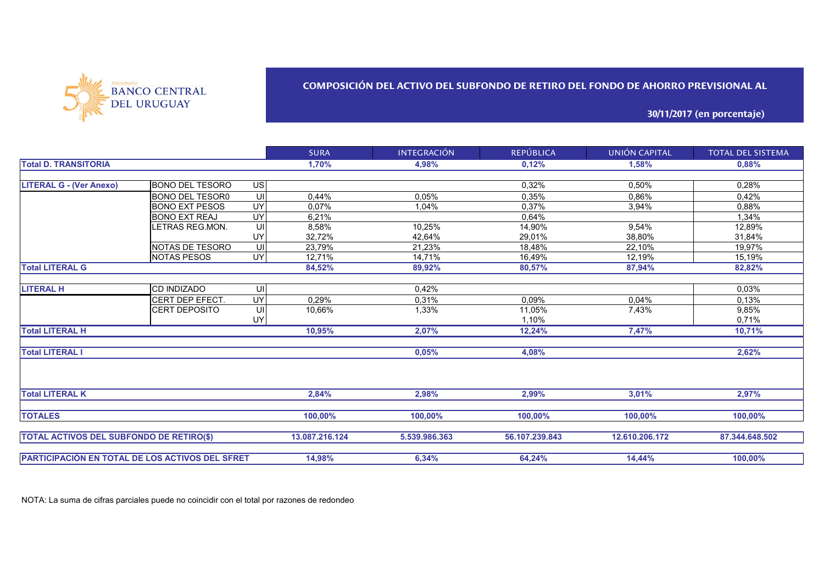

## **COMPOSICIÓN DEL ACTIVO DEL SUBFONDO DE RETIRO DEL FONDO DE AHORRO PREVISIONAL AL**

**30/11/2017 (en porcentaje)**

|                                                 |                        |                 | <b>SURA</b>    | <b>INTEGRACIÓN</b> | <b>REPÚBLICA</b> | UNIÓN CAPITAL  | <b>TOTAL DEL SISTEMA</b> |
|-------------------------------------------------|------------------------|-----------------|----------------|--------------------|------------------|----------------|--------------------------|
| <b>Total D. TRANSITORIA</b>                     |                        |                 | 1,70%          | 4,98%              | 0,12%            | 1,58%          | 0,88%                    |
|                                                 |                        |                 |                |                    |                  |                |                          |
| <b>LITERAL G - (Ver Anexo)</b>                  | BONO DEL TESORO        | US <sub>I</sub> |                |                    | 0.32%            | 0,50%          | 0.28%                    |
|                                                 | <b>BONO DEL TESOR0</b> | υıl             | 0,44%          | 0,05%              | 0,35%            | 0,86%          | 0,42%                    |
|                                                 | <b>BONO EXT PESOS</b>  | UY <sub></sub>  | 0.07%          | 1.04%              | 0.37%            | 3,94%          | 0,88%                    |
|                                                 | <b>BONO EXT REAJ</b>   | <b>UY</b>       | 6,21%          |                    | 0.64%            |                | 1,34%                    |
|                                                 | LETRAS REG.MON.        | UI              | 8,58%          | 10,25%             | 14,90%           | 9,54%          | 12,89%                   |
|                                                 |                        | UY              | 32.72%         | 42.64%             | 29.01%           | 38.80%         | 31,84%                   |
|                                                 | <b>NOTAS DE TESORO</b> | UI              | 23,79%         | 21,23%             | 18,48%           | 22,10%         | 19,97%                   |
|                                                 | <b>NOTAS PESOS</b>     | <b>UY</b>       | 12.71%         | 14,71%             | 16,49%           | 12,19%         | 15,19%                   |
| <b>Total LITERAL G</b>                          |                        |                 | 84,52%         | 89,92%             | 80,57%           | 87,94%         | 82,82%                   |
| <b>LITERAL H</b>                                | <b>CD INDIZADO</b>     | UI              |                | 0,42%              |                  |                | 0,03%                    |
|                                                 | CERT DEP EFECT.        | UY              | 0.29%          | 0,31%              | 0.09%            | 0,04%          | 0,13%                    |
|                                                 | <b>CERT DEPOSITO</b>   | UI              | 10,66%         | 1,33%              | 11,05%           | 7,43%          | 9,85%                    |
|                                                 |                        | UY              |                |                    | 1.10%            |                | 0,71%                    |
| <b>Total LITERAL H</b>                          |                        |                 | 10,95%         | 2,07%              | 12,24%           | 7,47%          | 10,71%                   |
| <b>Total LITERAL I</b>                          |                        |                 |                | 0,05%              | 4,08%            |                | 2,62%                    |
|                                                 |                        |                 |                |                    |                  |                |                          |
| <b>Total LITERAL K</b>                          |                        |                 | 2,84%          | 2,98%              | 2,99%            | 3,01%          | 2,97%                    |
| <b>TOTALES</b>                                  |                        |                 | 100,00%        | 100,00%            | 100,00%          | 100,00%        | 100,00%                  |
|                                                 |                        |                 |                |                    |                  |                |                          |
| <b>TOTAL ACTIVOS DEL SUBFONDO DE RETIRO(\$)</b> |                        |                 | 13.087.216.124 | 5.539.986.363      | 56.107.239.843   | 12.610.206.172 | 87.344.648.502           |
|                                                 |                        |                 |                |                    |                  |                |                          |
| PARTICIPACIÓN EN TOTAL DE LOS ACTIVOS DEL SFRET |                        |                 | 14,98%         | 6,34%              | 64,24%           | 14,44%         | 100,00%                  |